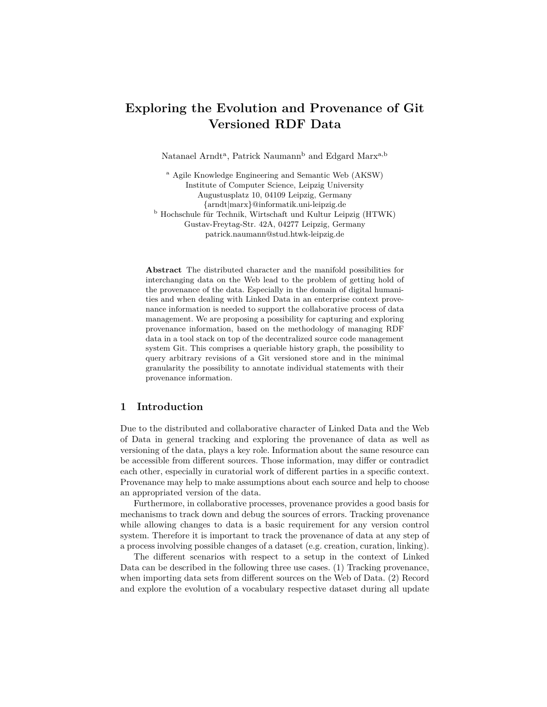# **Exploring the Evolution and Provenance of Git Versioned RDF Data**

Natanael Arndt<sup>a</sup>, Patrick Naumann<sup>b</sup> and Edgard Marx<sup>a,b</sup>

<sup>a</sup> Agile Knowledge Engineering and Semantic Web (AKSW) Institute of Computer Science, Leipzig University Augustusplatz 10, 04109 Leipzig, Germany {arndt|marx}@informatik.uni-leipzig.de <sup>b</sup> Hochschule für Technik, Wirtschaft und Kultur Leipzig (HTWK) Gustav-Freytag-Str. 42A, 04277 Leipzig, Germany patrick.naumann@stud.htwk-leipzig.de

**Abstract** The distributed character and the manifold possibilities for interchanging data on the Web lead to the problem of getting hold of the provenance of the data. Especially in the domain of digital humanities and when dealing with Linked Data in an enterprise context provenance information is needed to support the collaborative process of data management. We are proposing a possibility for capturing and exploring provenance information, based on the methodology of managing RDF data in a tool stack on top of the decentralized source code management system Git. This comprises a queriable history graph, the possibility to query arbitrary revisions of a Git versioned store and in the minimal granularity the possibility to annotate individual statements with their provenance information.

# <span id="page-0-0"></span>**1 Introduction**

Due to the distributed and collaborative character of Linked Data and the Web of Data in general tracking and exploring the provenance of data as well as versioning of the data, plays a key role. Information about the same resource can be accessible from different sources. Those information, may differ or contradict each other, especially in curatorial work of different parties in a specific context. Provenance may help to make assumptions about each source and help to choose an appropriated version of the data.

Furthermore, in collaborative processes, provenance provides a good basis for mechanisms to track down and debug the sources of errors. Tracking provenance while allowing changes to data is a basic requirement for any version control system. Therefore it is important to track the provenance of data at any step of a process involving possible changes of a dataset (e.g. creation, curation, linking).

The different scenarios with respect to a setup in the context of Linked Data can be described in the following three use cases. (1) Tracking provenance, when importing data sets from different sources on the Web of Data. (2) Record and explore the evolution of a vocabulary respective dataset during all update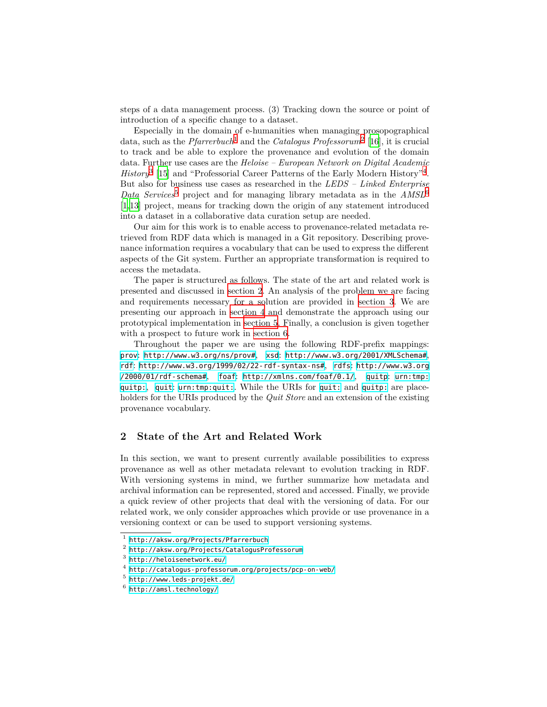steps of a data management process. (3) Tracking down the source or point of introduction of a specific change to a dataset.

Especially in the domain of e-humanities when managing prosopographical data, such as the *Pfarrerbuch*[1](#page-1-0) and the *Catalogus Professorum*[2](#page-1-1) [\[16](#page-14-0)], it is crucial to track and be able to explore the provenance and evolution of the domain data. Further use cases are the *Heloise – European Network on Digital Academic History*<sup>[3](#page-1-2)</sup> [[15\]](#page-14-1) and "Professorial Career Patterns of the Early Modern History"<sup>[4](#page-1-3)</sup>. But also for business use cases as researched in the *LEDS – Linked Enterprise Data Services*<sup>[5](#page-1-4)</sup> project and for managing library metadata as in the  $AMSL<sup>6</sup>$  $AMSL<sup>6</sup>$  $AMSL<sup>6</sup>$ [[1,](#page-13-0)[13](#page-14-2)] project, means for tracking down the origin of any statement introduced into a dataset in a collaborative data curation setup are needed.

Our aim for this work is to enable access to provenance-related metadata retrieved from RDF data which is managed in a Git repository. Describing provenance information requires a vocabulary that can be used to express the different aspects of the Git system. Further an appropriate transformation is required to access the metadata.

The paper is structured as follows. The state of the art and related work is presented and discussed in [section 2.](#page-1-6) An analysis of the problem we are facing and requirements necessary for a solution are provided in [section 3](#page-4-0). We are presenting our approach in [section 4](#page-5-0) and demonstrate the approach using our prototypical implementation in [section 5](#page-10-0). Finally, a conclusion is given together with a prospect to future work in [section 6](#page-12-0).

Throughout the paper we are using the following RDF-prefix mappings: [prov](http://www.w3.org/ns/prov): <http://www.w3.org/ns/prov#>, [xsd](http://www.w3.org/2001/XMLSchema): <http://www.w3.org/2001/XMLSchema#>, [rdf](http://www.w3.org/1999/02/22-rdf-syntax-ns): <http://www.w3.org/1999/02/22-rdf-syntax-ns#>, [rdfs](http://www.w3.org/2000/01/rdf-schema): [http://www.w3.org](http://www.w3.org/2000/01/rdf-schema#) [/2000/01/rdf-schema#](http://www.w3.org/2000/01/rdf-schema#), [foaf](http://xmlns.com/foaf/0.1/): <http://xmlns.com/foaf/0.1/>, [quitp](urn:tmp:quitp:): [urn:tmp:](urn:tmp:quitp:) [quitp:](urn:tmp:quitp:), [quit](urn:tmp:quit:): <urn:tmp:quit:>. While the URIs for [quit:](urn:tmp:quit:) and [quitp:](urn:tmp:quitp:) are placeholders for the URIs produced by the *Quit Store* and an extension of the existing provenance vocabulary.

# <span id="page-1-6"></span>**2 State of the Art and Related Work**

In this section, we want to present currently available possibilities to express provenance as well as other metadata relevant to evolution tracking in RDF. With versioning systems in mind, we further summarize how metadata and archival information can be represented, stored and accessed. Finally, we provide a quick review of other projects that deal with the versioning of data. For our related work, we only consider approaches which provide or use provenance in a versioning context or can be used to support versioning systems.

<span id="page-1-0"></span><sup>1</sup> <http://aksw.org/Projects/Pfarrerbuch>

<span id="page-1-1"></span> $^{\rm 2}$  <http://aksw.org/Projects/CatalogusProfessorum>

<span id="page-1-2"></span> $^3$  <http://heloisenetwork.eu/>

<span id="page-1-3"></span><sup>4</sup> <http://catalogus-professorum.org/projects/pcp-on-web/>

<span id="page-1-4"></span> $^5$  <http://www.leds-projekt.de/>

<span id="page-1-5"></span> $^6$  <http://amsl.technology/>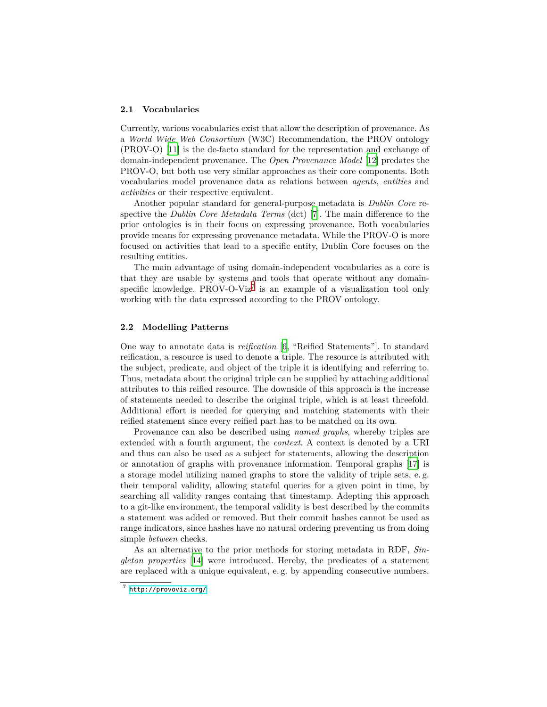#### **2.1 Vocabularies**

Currently, various vocabularies exist that allow the description of provenance. As a *World Wide Web Consortium* (W3C) Recommendation, the PROV ontology (PROV-O) [[11\]](#page-14-3) is the de-facto standard for the representation and exchange of domain-independent provenance. The *Open Provenance Model* [\[12](#page-14-4)] predates the PROV-O, but both use very similar approaches as their core components. Both vocabularies model provenance data as relations between *agents*, *entities* and *activities* or their respective equivalent.

Another popular standard for general-purpose metadata is *Dublin Core* respective the *Dublin Core Metadata Terms* (dct) [[7\]](#page-14-5). The main difference to the prior ontologies is in their focus on expressing provenance. Both vocabularies provide means for expressing provenance metadata. While the PROV-O is more focused on activities that lead to a specific entity, Dublin Core focuses on the resulting entities.

The main advantage of using domain-independent vocabularies as a core is that they are usable by systems and tools that operate without any domain-specific knowledge. PROV-O-Viz<sup>[7](#page-2-0)</sup> is an example of a visualization tool only working with the data expressed according to the PROV ontology.

#### **2.2 Modelling Patterns**

One way to annotate data is *reification* [\[6](#page-14-6), "Reified Statements"]. In standard reification, a resource is used to denote a triple. The resource is attributed with the subject, predicate, and object of the triple it is identifying and referring to. Thus, metadata about the original triple can be supplied by attaching additional attributes to this reified resource. The downside of this approach is the increase of statements needed to describe the original triple, which is at least threefold. Additional effort is needed for querying and matching statements with their reified statement since every reified part has to be matched on its own.

Provenance can also be described using *named graphs*, whereby triples are extended with a fourth argument, the *context*. A context is denoted by a URI and thus can also be used as a subject for statements, allowing the description or annotation of graphs with provenance information. Temporal graphs [\[17](#page-14-7)] is a storage model utilizing named graphs to store the validity of triple sets, e. g. their temporal validity, allowing stateful queries for a given point in time, by searching all validity ranges containg that timestamp. Adepting this approach to a git-like environment, the temporal validity is best described by the commits a statement was added or removed. But their commit hashes cannot be used as range indicators, since hashes have no natural ordering preventing us from doing simple *between* checks.

As an alternative to the prior methods for storing metadata in RDF, *Singleton properties* [\[14](#page-14-8)] were introduced. Hereby, the predicates of a statement are replaced with a unique equivalent, e. g. by appending consecutive numbers.

<span id="page-2-0"></span><sup>7</sup> <http://provoviz.org/>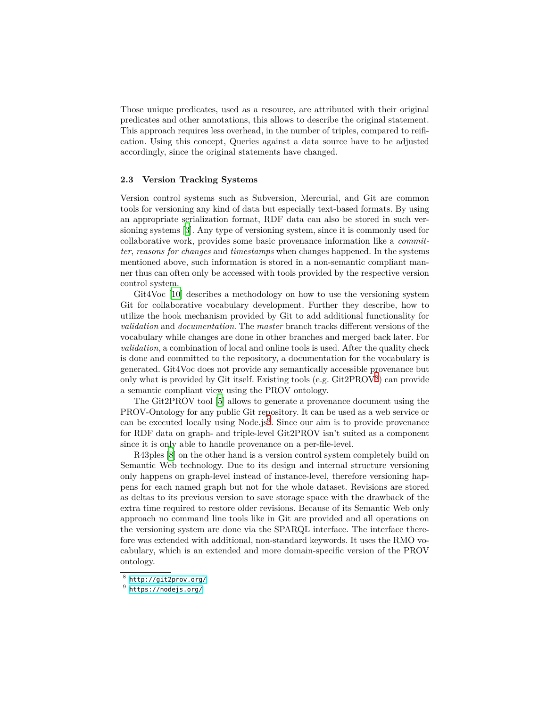Those unique predicates, used as a resource, are attributed with their original predicates and other annotations, this allows to describe the original statement. This approach requires less overhead, in the number of triples, compared to reification. Using this concept, Queries against a data source have to be adjusted accordingly, since the original statements have changed.

#### **2.3 Version Tracking Systems**

Version control systems such as Subversion, Mercurial, and Git are common tools for versioning any kind of data but especially text-based formats. By using an appropriate serialization format, RDF data can also be stored in such versioning systems [\[3](#page-14-9)]. Any type of versioning system, since it is commonly used for collaborative work, provides some basic provenance information like a *committer*, *reasons for changes* and *timestamps* when changes happened. In the systems mentioned above, such information is stored in a non-semantic compliant manner thus can often only be accessed with tools provided by the respective version control system.

Git4Voc [\[10\]](#page-14-10) describes a methodology on how to use the versioning system Git for collaborative vocabulary development. Further they describe, how to utilize the hook mechanism provided by Git to add additional functionality for *validation* and *documentation*. The *master* branch tracks different versions of the vocabulary while changes are done in other branches and merged back later. For *validation*, a combination of local and online tools is used. After the quality check is done and committed to the repository, a documentation for the vocabulary is generated. Git4Voc does not provide any semantically accessible provenance but only what is provided by Git itself. Existing tools (e.g. Git2PROV[8](#page-3-0) ) can provide a semantic compliant view using the PROV ontology.

The Git2PROV tool [[5\]](#page-14-11) allows to generate a provenance document using the PROV-Ontology for any public Git repository. It can be used as a web service or can be executed locally using Node.js<sup>[9](#page-3-1)</sup>. Since our aim is to provide provenance for RDF data on graph- and triple-level Git2PROV isn't suited as a component since it is only able to handle provenance on a per-file-level.

R43ples [\[8](#page-14-12)] on the other hand is a version control system completely build on Semantic Web technology. Due to its design and internal structure versioning only happens on graph-level instead of instance-level, therefore versioning happens for each named graph but not for the whole dataset. Revisions are stored as deltas to its previous version to save storage space with the drawback of the extra time required to restore older revisions. Because of its Semantic Web only approach no command line tools like in Git are provided and all operations on the versioning system are done via the SPARQL interface. The interface therefore was extended with additional, non-standard keywords. It uses the RMO vocabulary, which is an extended and more domain-specific version of the PROV ontology.

<span id="page-3-0"></span><sup>8</sup> <http://git2prov.org/>

<span id="page-3-1"></span> $^9$  <https://nodejs.org/>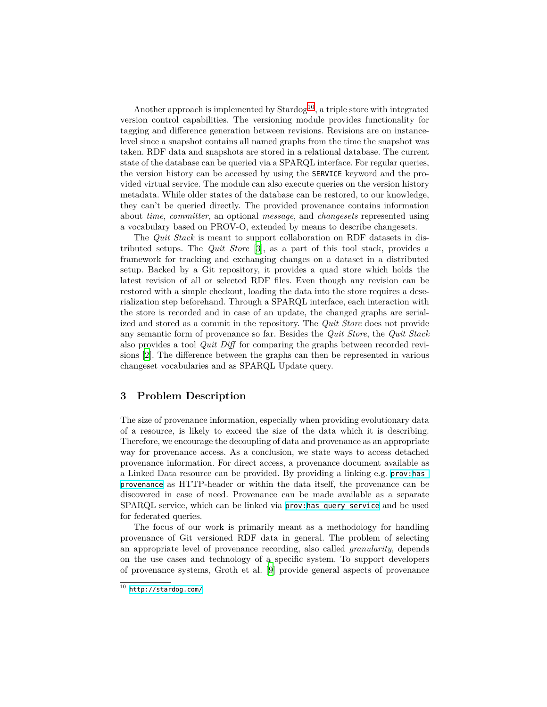Another approach is implemented by  $\text{Stardog}^{10}$  $\text{Stardog}^{10}$  $\text{Stardog}^{10}$ , a triple store with integrated version control capabilities. The versioning module provides functionality for tagging and difference generation between revisions. Revisions are on instancelevel since a snapshot contains all named graphs from the time the snapshot was taken. RDF data and snapshots are stored in a relational database. The current state of the database can be queried via a SPARQL interface. For regular queries, the version history can be accessed by using the SERVICE keyword and the provided virtual service. The module can also execute queries on the version history metadata. While older states of the database can be restored, to our knowledge, they can't be queried directly. The provided provenance contains information about *time*, *committer*, an optional *message*, and *changesets* represented using a vocabulary based on PROV-O, extended by means to describe changesets.

The *Quit Stack* is meant to support collaboration on RDF datasets in distributed setups. The *Quit Store* [[3\]](#page-14-9), as a part of this tool stack, provides a framework for tracking and exchanging changes on a dataset in a distributed setup. Backed by a Git repository, it provides a quad store which holds the latest revision of all or selected RDF files. Even though any revision can be restored with a simple checkout, loading the data into the store requires a deserialization step beforehand. Through a SPARQL interface, each interaction with the store is recorded and in case of an update, the changed graphs are serialized and stored as a commit in the repository. The *Quit Store* does not provide any semantic form of provenance so far. Besides the *Quit Store*, the *Quit Stack* also provides a tool *Quit Diff* for comparing the graphs between recorded revisions [\[2](#page-13-1)]. The difference between the graphs can then be represented in various changeset vocabularies and as SPARQL Update query.

# <span id="page-4-0"></span>**3 Problem Description**

The size of provenance information, especially when providing evolutionary data of a resource, is likely to exceed the size of the data which it is describing. Therefore, we encourage the decoupling of data and provenance as an appropriate way for provenance access. As a conclusion, we state ways to access detached provenance information. For direct access, a provenance document available as a Linked Data resource can be provided. By providing a linking e.g. [prov:](http://www.w3.org/ns/prov)[has\\_](http://www.w3.org/ns/prov#has_provenance) [provenance](http://www.w3.org/ns/prov#has_provenance) as HTTP-header or within the data itself, the provenance can be discovered in case of need. Provenance can be made available as a separate SPARQL service, which can be linked via [prov:](http://www.w3.org/ns/prov)[has\\_query\\_service](http://www.w3.org/ns/prov#has_query_service) and be used for federated queries.

The focus of our work is primarily meant as a methodology for handling provenance of Git versioned RDF data in general. The problem of selecting an appropriate level of provenance recording, also called *granularity*, depends on the use cases and technology of a specific system. To support developers of provenance systems, Groth et al. [[9\]](#page-14-13) provide general aspects of provenance

<span id="page-4-1"></span> $\overline{^{10}}$  <http://stardog.com/>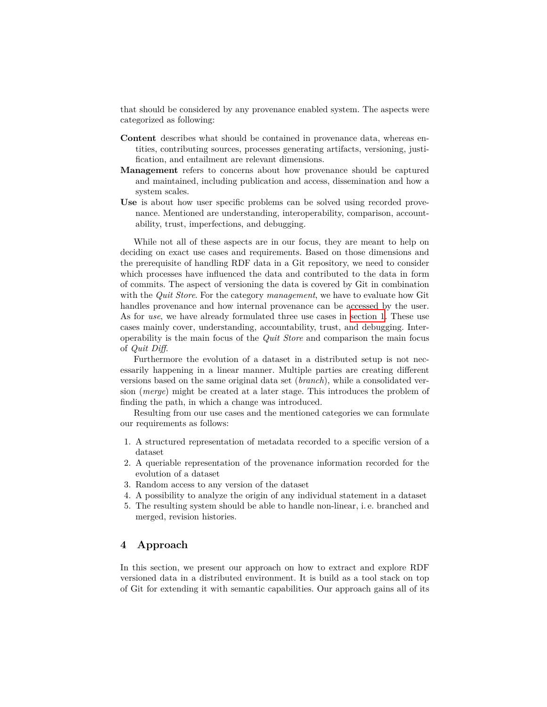that should be considered by any provenance enabled system. The aspects were categorized as following:

- **Content** describes what should be contained in provenance data, whereas entities, contributing sources, processes generating artifacts, versioning, justification, and entailment are relevant dimensions.
- **Management** refers to concerns about how provenance should be captured and maintained, including publication and access, dissemination and how a system scales.
- **Use** is about how user specific problems can be solved using recorded provenance. Mentioned are understanding, interoperability, comparison, accountability, trust, imperfections, and debugging.

While not all of these aspects are in our focus, they are meant to help on deciding on exact use cases and requirements. Based on those dimensions and the prerequisite of handling RDF data in a Git repository, we need to consider which processes have influenced the data and contributed to the data in form of commits. The aspect of versioning the data is covered by Git in combination with the *Quit Store*. For the category *management*, we have to evaluate how Git handles provenance and how internal provenance can be accessed by the user. As for *use*, we have already formulated three use cases in [section 1.](#page-0-0) These use cases mainly cover, understanding, accountability, trust, and debugging. Interoperability is the main focus of the *Quit Store* and comparison the main focus of *Quit Diff*.

Furthermore the evolution of a dataset in a distributed setup is not necessarily happening in a linear manner. Multiple parties are creating different versions based on the same original data set (*branch*), while a consolidated version (*merge*) might be created at a later stage. This introduces the problem of finding the path, in which a change was introduced.

Resulting from our use cases and the mentioned categories we can formulate our requirements as follows:

- 1. A structured representation of metadata recorded to a specific version of a dataset
- 2. A queriable representation of the provenance information recorded for the evolution of a dataset
- 3. Random access to any version of the dataset
- 4. A possibility to analyze the origin of any individual statement in a dataset
- 5. The resulting system should be able to handle non-linear, i. e. branched and merged, revision histories.

# <span id="page-5-0"></span>**4 Approach**

In this section, we present our approach on how to extract and explore RDF versioned data in a distributed environment. It is build as a tool stack on top of Git for extending it with semantic capabilities. Our approach gains all of its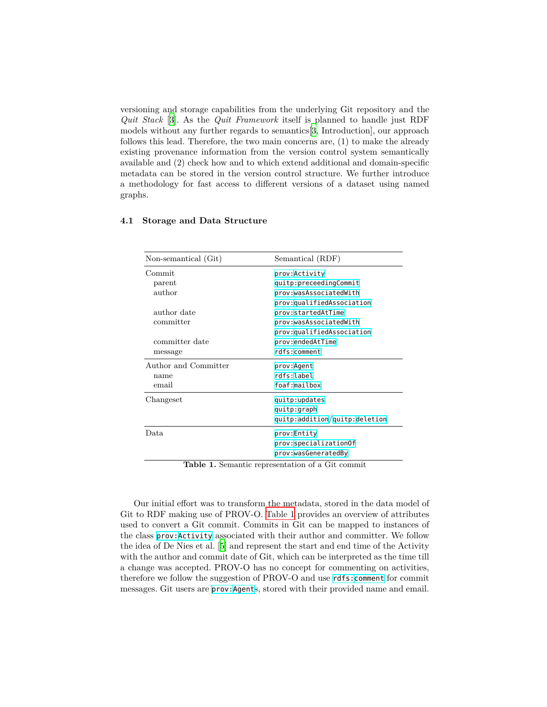versioning and storage capabilities from the underlying Git repository and the *Quit Stack* [[3\]](#page-14-9). As the *Quit Framework* itself is planned to handle just RDF models without any further regards to semantics[\[3](#page-14-9), Introduction], our approach follows this lead. Therefore, the two main concerns are, (1) to make the already existing provenance information from the version control system semantically available and (2) check how and to which extend additional and domain-specific metadata can be stored in the version control structure. We further introduce a methodology for fast access to different versions of a dataset using named graphs.

| Non-semantical (Git)    | Semantical (RDF)              |  |  |  |  |
|-------------------------|-------------------------------|--|--|--|--|
| Commit                  | prov: Activity                |  |  |  |  |
| parent                  | quitp:preceedingCommit        |  |  |  |  |
| $\operatorname{author}$ | prov:wasAssociatedWith        |  |  |  |  |
|                         | prov:qualifiedAssociation     |  |  |  |  |
| author date             | prov:startedAtTime            |  |  |  |  |
| committer               | prov:wasAssociatedWith        |  |  |  |  |
|                         | prov:qualifiedAssociation     |  |  |  |  |
| committer date          | prov:endedAtTime              |  |  |  |  |
| message                 | rdfs:comment                  |  |  |  |  |
| Author and Committer    | prov:Agent                    |  |  |  |  |
| name                    | rdfs:label                    |  |  |  |  |
| email                   | foaf:mailbox                  |  |  |  |  |
| Changeset               | quitp:updates                 |  |  |  |  |
|                         | quitp:graph                   |  |  |  |  |
|                         | quitp:addition/quitp:deletion |  |  |  |  |
| Data.                   | prov:Entity                   |  |  |  |  |
|                         | prov:specializationOf         |  |  |  |  |
|                         | prov: was Generated By        |  |  |  |  |

#### **4.1 Storage and Data Structure**

<span id="page-6-0"></span>**Table 1.** Semantic representation of a Git commit

Our initial effort was to transform the metadata, stored in the data model of Git to RDF making use of PROV-O. [Table 1](#page-6-0) provides an overview of attributes used to convert a Git commit. Commits in Git can be mapped to instances of the class [prov:](http://www.w3.org/ns/prov)[Activity](http://www.w3.org/ns/prov#Activity) associated with their author and committer. We follow the idea of De Nies et al. [\[5](#page-14-11)] and represent the start and end time of the Activity with the author and commit date of Git, which can be interpreted as the time till a change was accepted. PROV-O has no concept for commenting on activities, therefore we follow the suggestion of PROV-O and use [rdfs:](http://www.w3.org/2000/01/rdf-schema)[comment](http://www.w3.org/2000/01/rdf-schema#comment) for commit messages. Git users are [prov:](http://www.w3.org/ns/prov)[Agent](http://www.w3.org/ns/prov#Agent)s, stored with their provided name and email.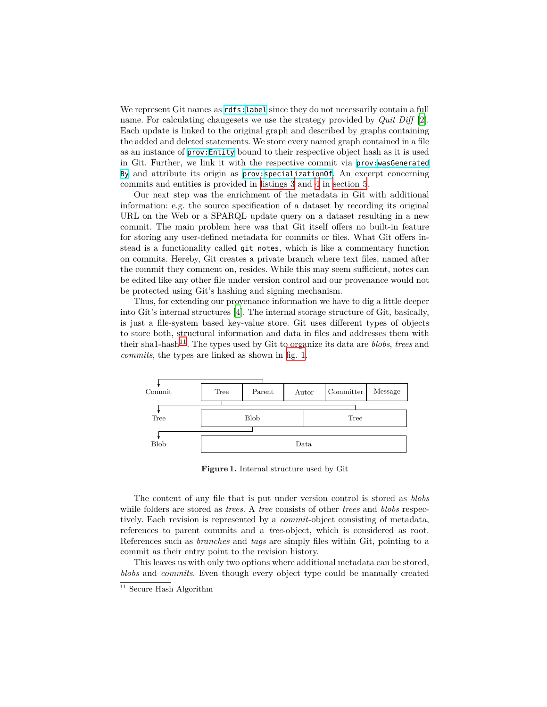We represent Git names as  $rds$ : [label](http://www.w3.org/2000/01/rdf-schema#label) since they do not necessarily contain a full name. For calculating changesets we use the strategy provided by *Quit Diff* [\[2](#page-13-1)]. Each update is linked to the original graph and described by graphs containing the added and deleted statements. We store every named graph contained in a file as an instance of [prov:](http://www.w3.org/ns/prov)[Entity](http://www.w3.org/ns/prov#Entity) bound to their respective object hash as it is used in Git. Further, we link it with the respective commit via [prov:](http://www.w3.org/ns/prov)[wasGenerated](http://www.w3.org/ns/prov#wasGeneratedBy) [By](http://www.w3.org/ns/prov#wasGeneratedBy) and attribute its origin as [prov:](http://www.w3.org/ns/prov)[specializationOf](http://www.w3.org/ns/prov#specializationOf). An excerpt concerning commits and entities is provided in [listings 3](#page-10-1) and [4](#page-11-0) in [section 5](#page-10-0).

Our next step was the enrichment of the metadata in Git with additional information: e.g. the source specification of a dataset by recording its original URL on the Web or a SPARQL update query on a dataset resulting in a new commit. The main problem here was that Git itself offers no built-in feature for storing any user-defined metadata for commits or files. What Git offers instead is a functionality called git notes, which is like a commentary function on commits. Hereby, Git creates a private branch where text files, named after the commit they comment on, resides. While this may seem sufficient, notes can be edited like any other file under version control and our provenance would not be protected using Git's hashing and signing mechanism.

Thus, for extending our provenance information we have to dig a little deeper into Git's internal structures [\[4](#page-14-14)]. The internal storage structure of Git, basically, is just a file-system based key-value store. Git uses different types of objects to store both, structural information and data in files and addresses them with their sha1-hash[11](#page-7-0). The types used by Git to organize its data are *blobs*, *trees* and *commits*, the types are linked as shown in [fig. 1.](#page-7-1)



<span id="page-7-1"></span>**Figure 1.** Internal structure used by Git

The content of any file that is put under version control is stored as *blobs* while folders are stored as *trees*. A *tree* consists of other *trees* and *blobs* respectively. Each revision is represented by a *commit*-object consisting of metadata, references to parent commits and a *tree*-object, which is considered as root. References such as *branches* and *tags* are simply files within Git, pointing to a commit as their entry point to the revision history.

This leaves us with only two options where additional metadata can be stored, *blobs* and *commits*. Even though every object type could be manually created

<span id="page-7-0"></span> $11$  Secure Hash Algorithm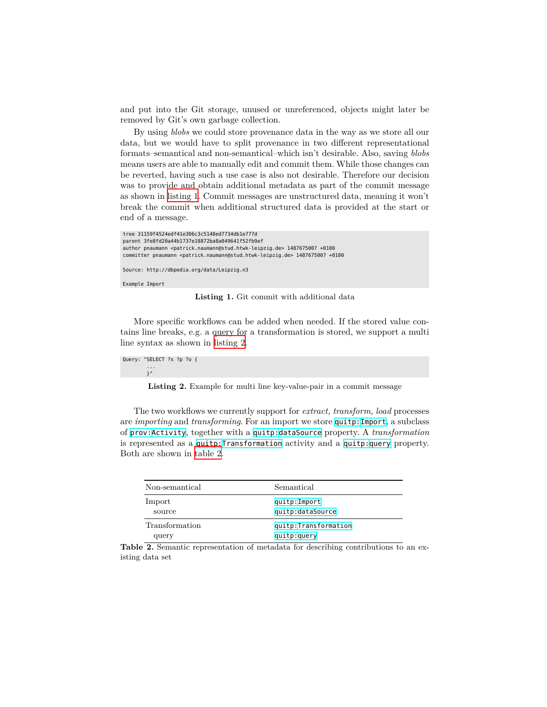and put into the Git storage, unused or unreferenced, objects might later be removed by Git's own garbage collection.

By using *blobs* we could store provenance data in the way as we store all our data, but we would have to split provenance in two different representational formats–semantical and non-semantical–which isn't desirable. Also, saving *blobs* means users are able to manually edit and commit them. While those changes can be reverted, having such a use case is also not desirable. Therefore our decision was to provide and obtain additional metadata as part of the commit message as shown in [listing 1.](#page-8-0) Commit messages are unstructured data, meaning it won't break the commit when additional structured data is provided at the start or end of a message.

```
tree 31159f4524edf41e306c3c5148ed7734db1e777d
parent 3fe8fd20a44b1737e18872ba8a049641f52fb9ef
author pnaumann <patrick.naumann@stud.htwk-leipzig.de> 1487675007 +0100
committer pnaumann <patrick.naumann@stud.htwk-leipzig.de> 1487675007 +0100
```
Source: http://dbpedia.org/data/Leipzig.n3

Example Import

**Listing 1.** Git commit with additional data

More specific workflows can be added when needed. If the stored value contains line breaks, e.g. a query for a transformation is stored, we support a multi line syntax as shown in [listing 2](#page-8-1).

<span id="page-8-1"></span>Query: "SELECT ?s ?p ?o { . . .<br>}"

**Listing 2.** Example for multi line key-value-pair in a commit message

The two workflows we currently support for *extract, transform, load* processes are *importing* and *transforming*. For an import we store [quitp:](urn:tmp:quitp:)[Import](urn:tmp:quitp:Import), a subclass of [prov:](http://www.w3.org/ns/prov)[Activity](http://www.w3.org/ns/prov#Activity), together with a [quitp:](urn:tmp:quitp:)[dataSource](urn:tmp:quitp:dataSource) property. A *transformation* is represented as a [quitp:](urn:tmp:quitp:)[Transformation](urn:tmp:quitp:Transformation) activity and a [quitp:](urn:tmp:quitp:)[query](urn:tmp:quitp:query) property. Both are shown in [table 2.](#page-8-2)

<span id="page-8-2"></span>

| Non-semantical | Semantical           |
|----------------|----------------------|
| Import         | quitp:Import         |
| source         | quitp:dataSource     |
| Transformation | quitp:Transformation |
| query          | quitp:query          |

**Table 2.** Semantic representation of metadata for describing contributions to an existing data set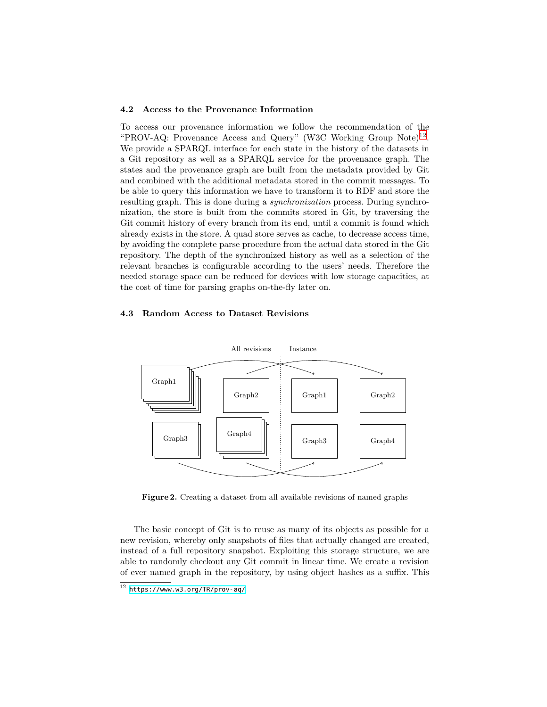#### **4.2 Access to the Provenance Information**

To access our provenance information we follow the recommendation of the "PROV-AQ: Provenance Access and Query" (W3C Working Group Note)<sup>[12](#page-9-0)</sup>. We provide a SPARQL interface for each state in the history of the datasets in a Git repository as well as a SPARQL service for the provenance graph. The states and the provenance graph are built from the metadata provided by Git and combined with the additional metadata stored in the commit messages. To be able to query this information we have to transform it to RDF and store the resulting graph. This is done during a *synchronization* process. During synchronization, the store is built from the commits stored in Git, by traversing the Git commit history of every branch from its end, until a commit is found which already exists in the store. A quad store serves as cache, to decrease access time, by avoiding the complete parse procedure from the actual data stored in the Git repository. The depth of the synchronized history as well as a selection of the relevant branches is configurable according to the users' needs. Therefore the needed storage space can be reduced for devices with low storage capacities, at the cost of time for parsing graphs on-the-fly later on.

#### **4.3 Random Access to Dataset Revisions**



<span id="page-9-1"></span>**Figure 2.** Creating a dataset from all available revisions of named graphs

The basic concept of Git is to reuse as many of its objects as possible for a new revision, whereby only snapshots of files that actually changed are created, instead of a full repository snapshot. Exploiting this storage structure, we are able to randomly checkout any Git commit in linear time. We create a revision of ever named graph in the repository, by using object hashes as a suffix. This

<span id="page-9-0"></span> $12$  <https://www.w3.org/TR/prov-aq/>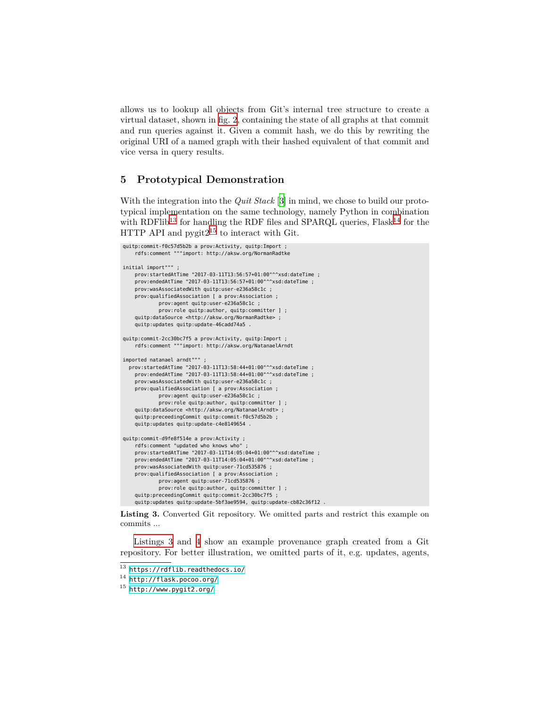allows us to lookup all objects from Git's internal tree structure to create a virtual dataset, shown in [fig. 2,](#page-9-1) containing the state of all graphs at that commit and run queries against it. Given a commit hash, we do this by rewriting the original URI of a named graph with their hashed equivalent of that commit and vice versa in query results.

# <span id="page-10-0"></span>**5 Prototypical Demonstration**

With the integration into the *Quit Stack* [[3\]](#page-14-9) in mind, we chose to build our prototypical implementation on the same technology, namely Python in combination with RDFlib<sup>[13](#page-10-2)</sup> for handling the RDF files and SPARQL queries,  $Flask^{14}$  $Flask^{14}$  $Flask^{14}$  for the HTTP API and  $pygit2^{15}$  $pygit2^{15}$  $pygit2^{15}$  to interact with Git.

```
quitp:commit-f0c57d5b2b a prov:Activity, quitp:Import ;
    rdfs:comment """import: http://aksw.org/NormanRadtke
initial import""" ;
    prov:startedAtTime "2017-03-11T13:56:57+01:00"^^xsd:dateTime ;
    prov:endedAtTime "2017-03-11T13:56:57+01:00"^^xsd:dateTime ;
    prov:wasAssociatedWith quitp:user-e236a58c1c ;
    prov:qualifiedAssociation [ a prov:Association ;
            prov:agent quitp:user-e236a58c1c ;
            prov:role quitp:author, quitp:committer ] ;
    quitp:dataSource <http://aksw.org/NormanRadtke> ;
    quitp:updates quitp:update-46cadd74a5 .
quitp:commit-2cc30bc7f5 a prov:Activity, quitp:Import ;
    rdfs:comment """import: http://aksw.org/NatanaelArndt
imported natanael arndt"""
 prov:startedAtTime "2017-03-11T13:58:44+01:00"^^xsd:dateTime ;
   prov:endedAtTime "2017-03-11T13:58:44+01:00"^^xsd:dateTime ;
    prov:wasAssociatedWith quitp:user-e236a58c1c ;
   prov:qualifiedAssociation [ a prov:Association ;
            prov:agent quitp:user-e236a58c1c ;
            prov:role quitp:author, quitp:committer ] ;
    quitp:dataSource <http://aksw.org/NatanaelArndt> ;
    quitp:preceedingCommit quitp:commit-f0c57d5b2b ;
    quitp:updates quitp:update-c4e8149654 .
quitp:commit-d9fe8f514e a prov:Activity ;
    rdfs: comment "updated who knows who"
    prov:startedAtTime "2017-03-11T14:05:04+01:00"^^xsd:dateTime ;
    prov:endedAtTime "2017-03-11T14:05:04+01:00"^^xsd:dateTime ;
    prov:wasAssociatedWith quitp:user-71cd535876 ;
   prov:qualifiedAssociation [ a prov:Association ;
            prov:agent quitp:user-71cd535876 ;
            prov:role quitp:author, quitp:committer ] ;
    quitp:preceedingCommit quitp:commit-2cc30bc7f5 ;
    quitp:updates quitp:update-5bf3ae9594, quitp:update-cb82c36f12
```
**Listing 3.** Converted Git repository. We omitted parts and restrict this example on commits ...

[Listings 3](#page-10-1) and [4](#page-11-0) show an example provenance graph created from a Git repository. For better illustration, we omitted parts of it, e.g. updates, agents,

<span id="page-10-2"></span> $\overline{^{13}}$  <https://rdflib.readthedocs.io/>

<span id="page-10-3"></span><sup>14</sup> <http://flask.pocoo.org/>

<span id="page-10-4"></span> $^{15}$  <http://www.pygit2.org/>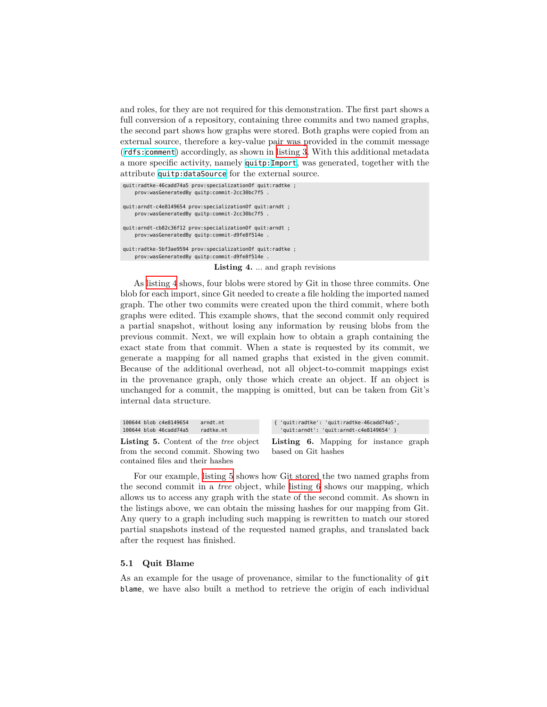and roles, for they are not required for this demonstration. The first part shows a full conversion of a repository, containing three commits and two named graphs, the second part shows how graphs were stored. Both graphs were copied from an external source, therefore a key-value pair was provided in the commit message ([rdfs:](http://www.w3.org/2000/01/rdf-schema)[comment](http://www.w3.org/2000/01/rdf-schema#comment)) accordingly, as shown in [listing 3.](#page-10-1) With this additional metadata a more specific activity, namely [quitp:](urn:tmp:quitp:)[Import](urn:tmp:quitp:Import), was generated, together with the attribute [quitp:](urn:tmp:quitp:)[dataSource](urn:tmp:quitp:dataSource) for the external source.

<span id="page-11-0"></span>quit:radtke-46cadd74a5 prov:specializationOf quit:radtke ; prov:wasGeneratedBy quitp:commit-2cc30bc7f5 . quit:arndt-c4e8149654 prov:specializationOf quit:arndt ; prov:wasGeneratedBy quitp:commit-2cc30bc7f5 . quit:arndt-cb82c36f12 prov:specializationOf quit:arndt ; prov:wasGeneratedBy quitp:commit-d9fe8f514e . quit:radtke-5bf3ae9594 prov:specializationOf quit:radtke ; prov:wasGeneratedBy quitp:commit-d9fe8f514e .

**Listing 4.** ... and graph revisions

As [listing 4](#page-11-0) shows, four blobs were stored by Git in those three commits. One blob for each import, since Git needed to create a file holding the imported named graph. The other two commits were created upon the third commit, where both graphs were edited. This example shows, that the second commit only required a partial snapshot, without losing any information by reusing blobs from the previous commit. Next, we will explain how to obtain a graph containing the exact state from that commit. When a state is requested by its commit, we generate a mapping for all named graphs that existed in the given commit. Because of the additional overhead, not all object-to-commit mappings exist in the provenance graph, only those which create an object. If an object is unchanged for a commit, the mapping is omitted, but can be taken from Git's internal data structure.

<span id="page-11-2"></span><span id="page-11-1"></span>

| 100644 blob c4e8149654<br>arndt.nt  | { 'quit:radtke': 'quit:radtke-46cadd74a5',                                         |  |  |  |  |
|-------------------------------------|------------------------------------------------------------------------------------|--|--|--|--|
| 100644 blob 46cadd74a5<br>radtke.nt | 'quit:arndt': 'quit:arndt-c4e8149654' }                                            |  |  |  |  |
|                                     | <b>Listing 5.</b> Content of the tree object Listing 6. Mapping for instance graph |  |  |  |  |
| from the second commit. Showing two | based on Git hashes                                                                |  |  |  |  |

contained files and their hashes For our example, [listing 5](#page-11-1) shows how Git stored the two named graphs from the second commit in a *tree* object, while [listing 6](#page-11-2) shows our mapping, which allows us to access any graph with the state of the second commit. As shown in the listings above, we can obtain the missing hashes for our mapping from Git. Any query to a graph including such mapping is rewritten to match our stored partial snapshots instead of the requested named graphs, and translated back after the request has finished.

#### **5.1 Quit Blame**

As an example for the usage of provenance, similar to the functionality of git blame, we have also built a method to retrieve the origin of each individual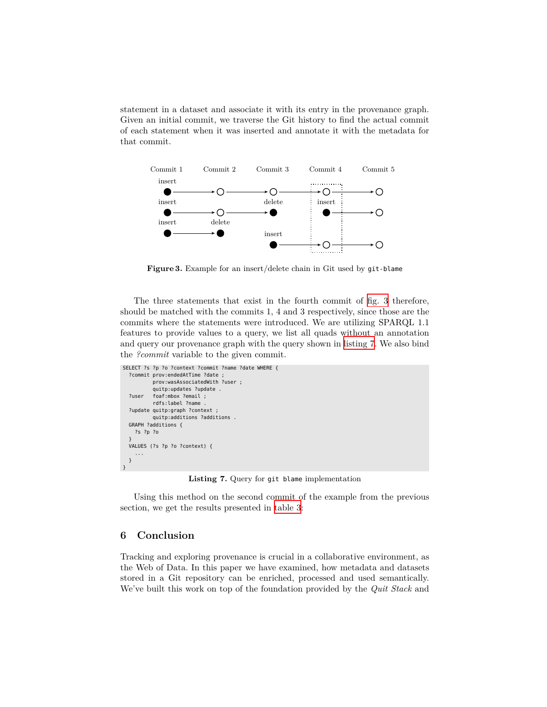statement in a dataset and associate it with its entry in the provenance graph. Given an initial commit, we traverse the Git history to find the actual commit of each statement when it was inserted and annotate it with the metadata for that commit.



<span id="page-12-1"></span>**Figure 3.** Example for an insert/delete chain in Git used by git-blame

The three statements that exist in the fourth commit of [fig. 3](#page-12-1) therefore, should be matched with the commits 1, 4 and 3 respectively, since those are the commits where the statements were introduced. We are utilizing SPARQL 1.1 features to provide values to a query, we list all quads without an annotation and query our provenance graph with the query shown in [listing 7](#page-12-2). We also bind the *?commit* variable to the given commit.

```
SELECT ?s ?p ?o ?context ?commit ?name ?date WHERE {
  ?commit prov:endedAtTime ?date ;
          prov:wasAssociatedWith ?user ;
          quitp:updates ?update .
  ?user foaf:mbox ?email ;
           rdfs:label ?name .
  ?update quitp:graph ?context ;
          quitp:additions ?additions .
  GRAPH ?additions {
    ?s ?p ?o
   }
VALUES (?s ?p ?o ?context) {
     ...
  }
}
```
**Listing 7.** Query for git blame implementation

Using this method on the second commit of the example from the previous section, we get the results presented in [table 3](#page-13-2):

# <span id="page-12-0"></span>**6 Conclusion**

Tracking and exploring provenance is crucial in a collaborative environment, as the Web of Data. In this paper we have examined, how metadata and datasets stored in a Git repository can be enriched, processed and used semantically. We've built this work on top of the foundation provided by the *Quit Stack* and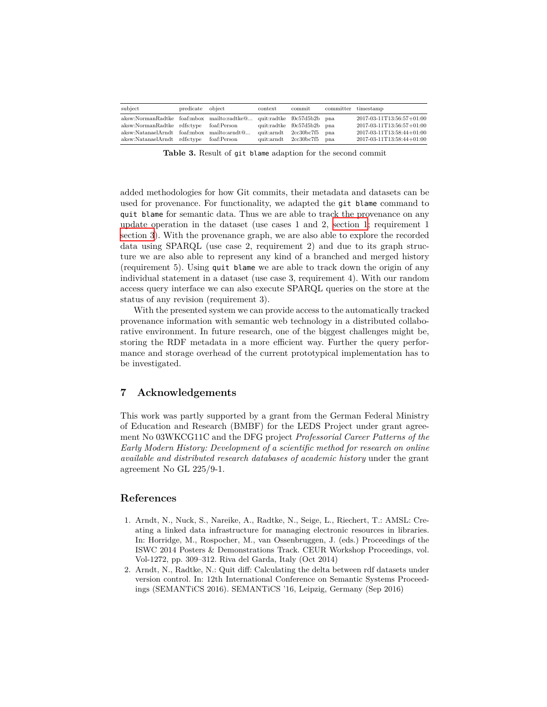| subject                                                               | predicate object | context | commit                     | committer timestamp       |
|-----------------------------------------------------------------------|------------------|---------|----------------------------|---------------------------|
| aksw:NormanRadtke foaf:mbox mailto:radtke@ quit:radtke f0c57d5b2b pna |                  |         |                            | 2017-03-11T13:56:57+01:00 |
| aksw:NormanRadtke rdfs:type foaf:Person                               |                  |         | quit:radtke f0c57d5b2b pna | 2017-03-11T13:56:57+01:00 |
| aksw:NatanaelArndt foaf:mbox mailto:arndt@                            |                  |         | quit:arndt 2cc30bc7f5 pna  | 2017-03-11T13:58:44+01:00 |
| aksw:NatanaelArndt rdfs:type foaf:Person                              |                  |         | quit:arndt 2cc30bc7f5 pna  | 2017-03-11T13:58:44+01:00 |

<span id="page-13-2"></span>**Table 3.** Result of git blame adaption for the second commit

added methodologies for how Git commits, their metadata and datasets can be used for provenance. For functionality, we adapted the git blame command to quit blame for semantic data. Thus we are able to track the provenance on any update operation in the dataset (use cases 1 and 2, [section 1;](#page-0-0) requirement 1 [section 3\)](#page-4-0). With the provenance graph, we are also able to explore the recorded data using SPARQL (use case 2, requirement 2) and due to its graph structure we are also able to represent any kind of a branched and merged history (requirement 5). Using quit blame we are able to track down the origin of any individual statement in a dataset (use case 3, requirement 4). With our random access query interface we can also execute SPARQL queries on the store at the status of any revision (requirement 3).

With the presented system we can provide access to the automatically tracked provenance information with semantic web technology in a distributed collaborative environment. In future research, one of the biggest challenges might be, storing the RDF metadata in a more efficient way. Further the query performance and storage overhead of the current prototypical implementation has to be investigated.

### **7 Acknowledgements**

This work was partly supported by a grant from the German Federal Ministry of Education and Research (BMBF) for the LEDS Project under grant agreement No 03WKCG11C and the DFG project *Professorial Career Patterns of the Early Modern History: Development of a scientific method for research on online available and distributed research databases of academic history* under the grant agreement No GL 225/9-1.

# **References**

- <span id="page-13-0"></span>1. Arndt, N., Nuck, S., Nareike, A., Radtke, N., Seige, L., Riechert, T.: AMSL: Creating a linked data infrastructure for managing electronic resources in libraries. In: Horridge, M., Rospocher, M., van Ossenbruggen, J. (eds.) Proceedings of the ISWC 2014 Posters & Demonstrations Track. CEUR Workshop Proceedings, vol. Vol-1272, pp. 309–312. Riva del Garda, Italy (Oct 2014)
- <span id="page-13-1"></span>2. Arndt, N., Radtke, N.: Quit diff: Calculating the delta between rdf datasets under version control. In: 12th International Conference on Semantic Systems Proceedings (SEMANTiCS 2016). SEMANTiCS '16, Leipzig, Germany (Sep 2016)